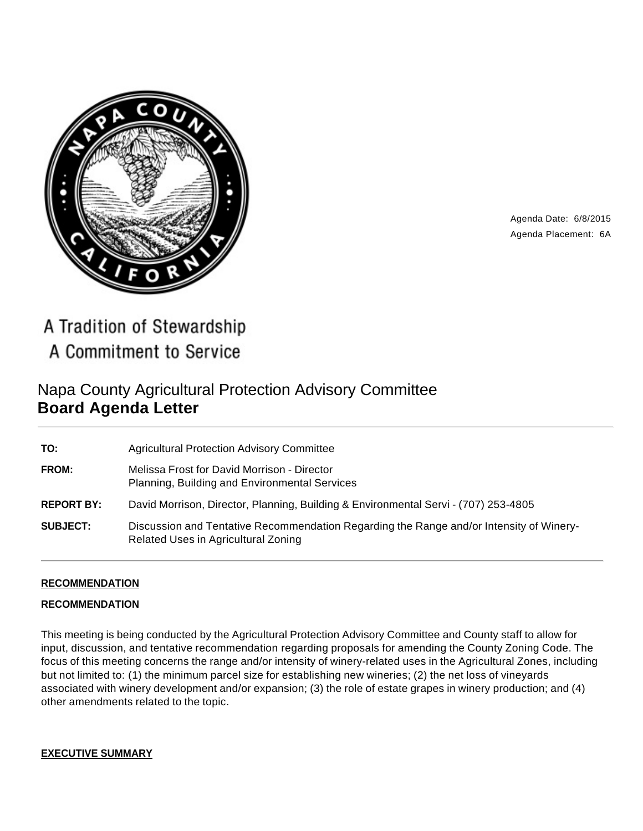

Agenda Date: 6/8/2015 Agenda Placement: 6A

A Tradition of Stewardship A Commitment to Service

# Napa County Agricultural Protection Advisory Committee **Board Agenda Letter**

| TO:               | <b>Agricultural Protection Advisory Committee</b>                                                                              |
|-------------------|--------------------------------------------------------------------------------------------------------------------------------|
| <b>FROM:</b>      | Melissa Frost for David Morrison - Director<br>Planning, Building and Environmental Services                                   |
| <b>REPORT BY:</b> | David Morrison, Director, Planning, Building & Environmental Servi - (707) 253-4805                                            |
| <b>SUBJECT:</b>   | Discussion and Tentative Recommendation Regarding the Range and/or Intensity of Winery-<br>Related Uses in Agricultural Zoning |

## **RECOMMENDATION**

#### **RECOMMENDATION**

This meeting is being conducted by the Agricultural Protection Advisory Committee and County staff to allow for input, discussion, and tentative recommendation regarding proposals for amending the County Zoning Code. The focus of this meeting concerns the range and/or intensity of winery-related uses in the Agricultural Zones, including but not limited to: (1) the minimum parcel size for establishing new wineries; (2) the net loss of vineyards associated with winery development and/or expansion; (3) the role of estate grapes in winery production; and (4) other amendments related to the topic.

#### **EXECUTIVE SUMMARY**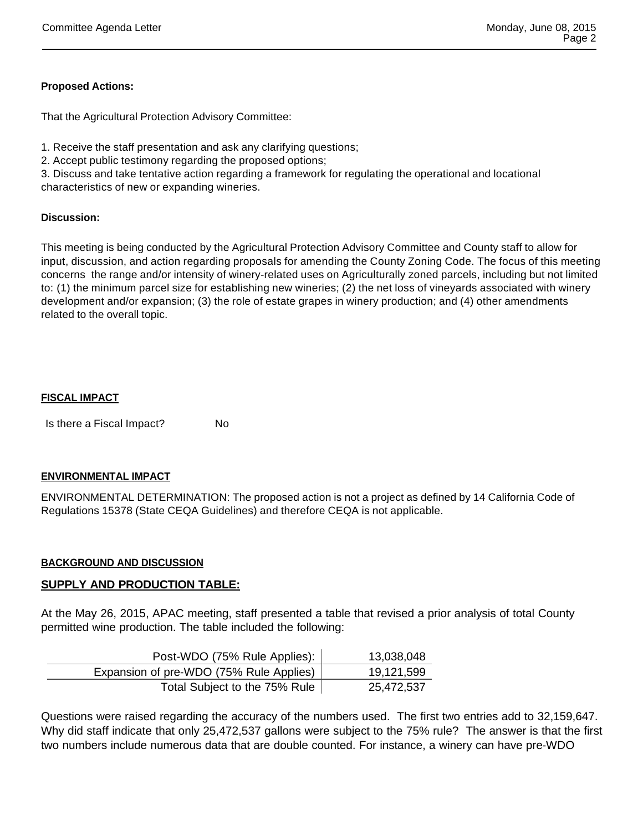## **Proposed Actions:**

That the Agricultural Protection Advisory Committee:

1. Receive the staff presentation and ask any clarifying questions;

2. Accept public testimony regarding the proposed options;

3. Discuss and take tentative action regarding a framework for regulating the operational and locational characteristics of new or expanding wineries.

#### **Discussion:**

This meeting is being conducted by the Agricultural Protection Advisory Committee and County staff to allow for input, discussion, and action regarding proposals for amending the County Zoning Code. The focus of this meeting concerns the range and/or intensity of winery-related uses on Agriculturally zoned parcels, including but not limited to: (1) the minimum parcel size for establishing new wineries; (2) the net loss of vineyards associated with winery development and/or expansion; (3) the role of estate grapes in winery production; and (4) other amendments related to the overall topic.

#### **FISCAL IMPACT**

Is there a Fiscal Impact? No

#### **ENVIRONMENTAL IMPACT**

ENVIRONMENTAL DETERMINATION: The proposed action is not a project as defined by 14 California Code of Regulations 15378 (State CEQA Guidelines) and therefore CEQA is not applicable.

#### **BACKGROUND AND DISCUSSION**

## **SUPPLY AND PRODUCTION TABLE:**

At the May 26, 2015, APAC meeting, staff presented a table that revised a prior analysis of total County permitted wine production. The table included the following:

| Post-WDO (75% Rule Applies):            | 13,038,048 |
|-----------------------------------------|------------|
| Expansion of pre-WDO (75% Rule Applies) | 19,121,599 |
| Total Subject to the 75% Rule           | 25,472,537 |

Questions were raised regarding the accuracy of the numbers used. The first two entries add to 32,159,647. Why did staff indicate that only 25,472,537 gallons were subject to the 75% rule? The answer is that the first two numbers include numerous data that are double counted. For instance, a winery can have pre-WDO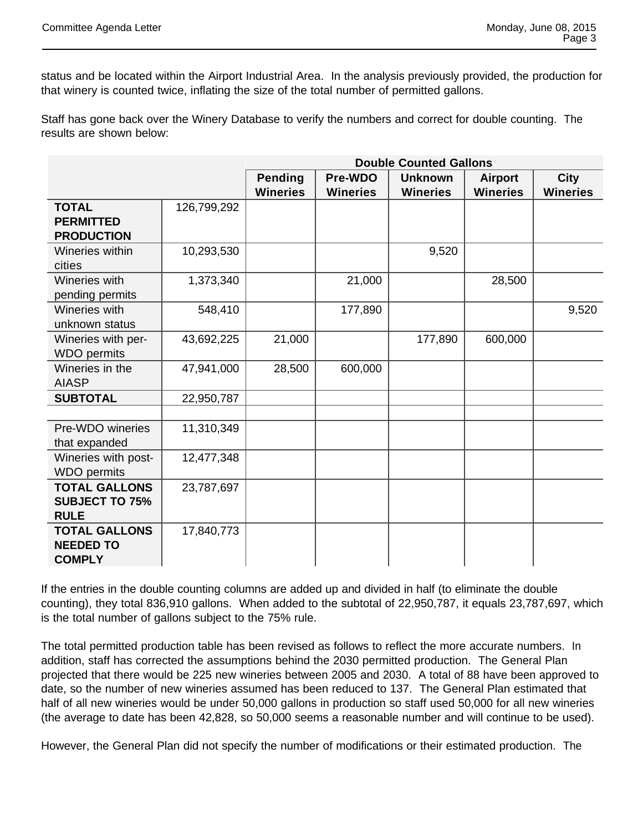status and be located within the Airport Industrial Area. In the analysis previously provided, the production for that winery is counted twice, inflating the size of the total number of permitted gallons.

Staff has gone back over the Winery Database to verify the numbers and correct for double counting. The results are shown below:

|                                                              |             | <b>Double Counted Gallons</b>                                 |                 |                 |                 |                 |
|--------------------------------------------------------------|-------------|---------------------------------------------------------------|-----------------|-----------------|-----------------|-----------------|
|                                                              |             | <b>Pending</b><br>Pre-WDO<br><b>Unknown</b><br><b>Airport</b> |                 |                 |                 | <b>City</b>     |
|                                                              |             | <b>Wineries</b>                                               | <b>Wineries</b> | <b>Wineries</b> | <b>Wineries</b> | <b>Wineries</b> |
| <b>TOTAL</b><br><b>PERMITTED</b>                             | 126,799,292 |                                                               |                 |                 |                 |                 |
| <b>PRODUCTION</b>                                            |             |                                                               |                 |                 |                 |                 |
| Wineries within                                              | 10,293,530  |                                                               |                 | 9,520           |                 |                 |
| cities                                                       |             |                                                               |                 |                 |                 |                 |
| Wineries with<br>pending permits                             | 1,373,340   |                                                               | 21,000          |                 | 28,500          |                 |
| Wineries with<br>unknown status                              | 548,410     |                                                               | 177,890         |                 |                 | 9,520           |
| Wineries with per-<br><b>WDO</b> permits                     | 43,692,225  | 21,000                                                        |                 | 177,890         | 600,000         |                 |
| Wineries in the<br><b>AIASP</b>                              | 47,941,000  | 28,500                                                        | 600,000         |                 |                 |                 |
| <b>SUBTOTAL</b>                                              | 22,950,787  |                                                               |                 |                 |                 |                 |
|                                                              |             |                                                               |                 |                 |                 |                 |
| Pre-WDO wineries<br>that expanded                            | 11,310,349  |                                                               |                 |                 |                 |                 |
| Wineries with post-<br><b>WDO</b> permits                    | 12,477,348  |                                                               |                 |                 |                 |                 |
| <b>TOTAL GALLONS</b><br><b>SUBJECT TO 75%</b><br><b>RULE</b> | 23,787,697  |                                                               |                 |                 |                 |                 |
| <b>TOTAL GALLONS</b><br><b>NEEDED TO</b><br><b>COMPLY</b>    | 17,840,773  |                                                               |                 |                 |                 |                 |

If the entries in the double counting columns are added up and divided in half (to eliminate the double counting), they total 836,910 gallons. When added to the subtotal of 22,950,787, it equals 23,787,697, which is the total number of gallons subject to the 75% rule.

The total permitted production table has been revised as follows to reflect the more accurate numbers. In addition, staff has corrected the assumptions behind the 2030 permitted production. The General Plan projected that there would be 225 new wineries between 2005 and 2030. A total of 88 have been approved to date, so the number of new wineries assumed has been reduced to 137. The General Plan estimated that half of all new wineries would be under 50,000 gallons in production so staff used 50,000 for all new wineries (the average to date has been 42,828, so 50,000 seems a reasonable number and will continue to be used).

However, the General Plan did not specify the number of modifications or their estimated production. The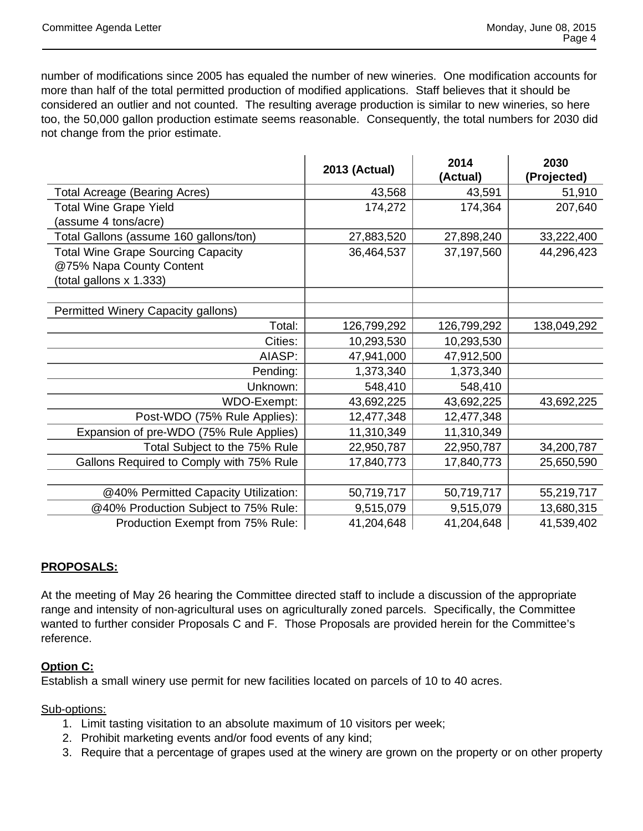number of modifications since 2005 has equaled the number of new wineries. One modification accounts for more than half of the total permitted production of modified applications. Staff believes that it should be considered an outlier and not counted. The resulting average production is similar to new wineries, so here too, the 50,000 gallon production estimate seems reasonable. Consequently, the total numbers for 2030 did not change from the prior estimate.

|                                           | <b>2013 (Actual)</b> | 2014        | 2030        |
|-------------------------------------------|----------------------|-------------|-------------|
|                                           |                      | (Actual)    | (Projected) |
| Total Acreage (Bearing Acres)             | 43,568               | 43,591      | 51,910      |
| <b>Total Wine Grape Yield</b>             | 174,272              | 174,364     | 207,640     |
| (assume 4 tons/acre)                      |                      |             |             |
| Total Gallons (assume 160 gallons/ton)    | 27,883,520           | 27,898,240  | 33,222,400  |
| <b>Total Wine Grape Sourcing Capacity</b> | 36,464,537           | 37,197,560  | 44,296,423  |
| @75% Napa County Content                  |                      |             |             |
| (total gallons x 1.333)                   |                      |             |             |
|                                           |                      |             |             |
| Permitted Winery Capacity gallons)        |                      |             |             |
| Total:                                    | 126,799,292          | 126,799,292 | 138,049,292 |
| Cities:                                   | 10,293,530           | 10,293,530  |             |
| AIASP:                                    | 47,941,000           | 47,912,500  |             |
| Pending:                                  | 1,373,340            | 1,373,340   |             |
| Unknown:                                  | 548,410              | 548,410     |             |
| WDO-Exempt:                               | 43,692,225           | 43,692,225  | 43,692,225  |
| Post-WDO (75% Rule Applies):              | 12,477,348           | 12,477,348  |             |
| Expansion of pre-WDO (75% Rule Applies)   | 11,310,349           | 11,310,349  |             |
| Total Subject to the 75% Rule             | 22,950,787           | 22,950,787  | 34,200,787  |
| Gallons Required to Comply with 75% Rule  | 17,840,773           | 17,840,773  | 25,650,590  |
|                                           |                      |             |             |
| @40% Permitted Capacity Utilization:      | 50,719,717           | 50,719,717  | 55,219,717  |
| @40% Production Subject to 75% Rule:      | 9,515,079            | 9,515,079   | 13,680,315  |
| Production Exempt from 75% Rule:          | 41,204,648           | 41,204,648  | 41,539,402  |

## **PROPOSALS:**

At the meeting of May 26 hearing the Committee directed staff to include a discussion of the appropriate range and intensity of non-agricultural uses on agriculturally zoned parcels. Specifically, the Committee wanted to further consider Proposals C and F. Those Proposals are provided herein for the Committee's reference.

## **Option C:**

Establish a small winery use permit for new facilities located on parcels of 10 to 40 acres.

Sub-options:

- 1. Limit tasting visitation to an absolute maximum of 10 visitors per week;
- 2. Prohibit marketing events and/or food events of any kind;
- 3. Require that a percentage of grapes used at the winery are grown on the property or on other property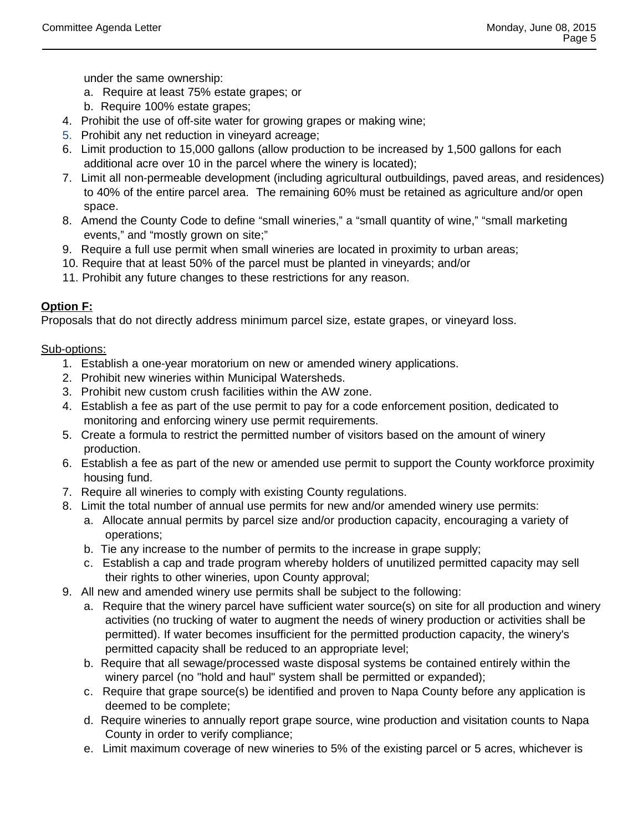under the same ownership:

- a. Require at least 75% estate grapes; or
- b. Require 100% estate grapes;
- 4. Prohibit the use of off-site water for growing grapes or making wine;
- 5. Prohibit any net reduction in vineyard acreage;
- 6. Limit production to 15,000 gallons (allow production to be increased by 1,500 gallons for each additional acre over 10 in the parcel where the winery is located);
- 7. Limit all non-permeable development (including agricultural outbuildings, paved areas, and residences) to 40% of the entire parcel area. The remaining 60% must be retained as agriculture and/or open space.
- 8. Amend the County Code to define "small wineries," a "small quantity of wine," "small marketing events," and "mostly grown on site;"
- 9. Require a full use permit when small wineries are located in proximity to urban areas;
- 10. Require that at least 50% of the parcel must be planted in vineyards; and/or
- 11. Prohibit any future changes to these restrictions for any reason.

## **Option F:**

Proposals that do not directly address minimum parcel size, estate grapes, or vineyard loss.

## Sub-options:

- 1. Establish a one-year moratorium on new or amended winery applications.
- 2. Prohibit new wineries within Municipal Watersheds.
- 3. Prohibit new custom crush facilities within the AW zone.
- 4. Establish a fee as part of the use permit to pay for a code enforcement position, dedicated to monitoring and enforcing winery use permit requirements.
- 5. Create a formula to restrict the permitted number of visitors based on the amount of winery production.
- 6. Establish a fee as part of the new or amended use permit to support the County workforce proximity housing fund.
- 7. Require all wineries to comply with existing County regulations.
- 8. Limit the total number of annual use permits for new and/or amended winery use permits:
	- a. Allocate annual permits by parcel size and/or production capacity, encouraging a variety of operations;
	- b. Tie any increase to the number of permits to the increase in grape supply;
	- c. Establish a cap and trade program whereby holders of unutilized permitted capacity may sell their rights to other wineries, upon County approval;
- 9. All new and amended winery use permits shall be subject to the following:
	- a. Require that the winery parcel have sufficient water source(s) on site for all production and winery activities (no trucking of water to augment the needs of winery production or activities shall be permitted). If water becomes insufficient for the permitted production capacity, the winery's permitted capacity shall be reduced to an appropriate level;
	- b. Require that all sewage/processed waste disposal systems be contained entirely within the winery parcel (no "hold and haul" system shall be permitted or expanded);
	- c. Require that grape source(s) be identified and proven to Napa County before any application is deemed to be complete;
	- d. Require wineries to annually report grape source, wine production and visitation counts to Napa County in order to verify compliance;
	- e. Limit maximum coverage of new wineries to 5% of the existing parcel or 5 acres, whichever is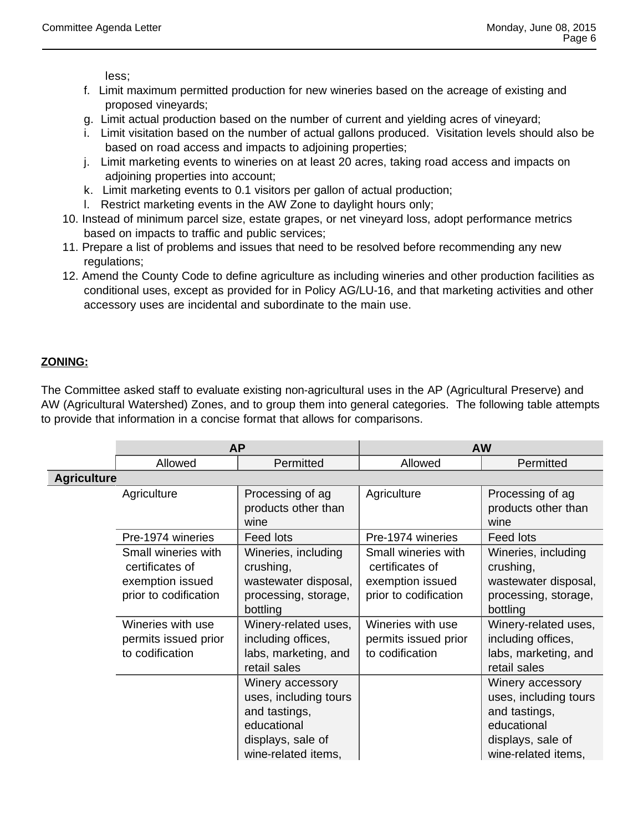less;

- f. Limit maximum permitted production for new wineries based on the acreage of existing and proposed vineyards;
- g. Limit actual production based on the number of current and yielding acres of vineyard;
- i. Limit visitation based on the number of actual gallons produced. Visitation levels should also be based on road access and impacts to adjoining properties;
- j. Limit marketing events to wineries on at least 20 acres, taking road access and impacts on adjoining properties into account;
- k. Limit marketing events to 0.1 visitors per gallon of actual production;
- l. Restrict marketing events in the AW Zone to daylight hours only;
- 10. Instead of minimum parcel size, estate grapes, or net vineyard loss, adopt performance metrics based on impacts to traffic and public services;
- 11. Prepare a list of problems and issues that need to be resolved before recommending any new regulations;
- 12. Amend the County Code to define agriculture as including wineries and other production facilities as conditional uses, except as provided for in Policy AG/LU-16, and that marketing activities and other accessory uses are incidental and subordinate to the main use.

# **ZONING:**

The Committee asked staff to evaluate existing non-agricultural uses in the AP (Agricultural Preserve) and AW (Agricultural Watershed) Zones, and to group them into general categories. The following table attempts to provide that information in a concise format that allows for comparisons.

|                    | <b>AP</b>                                                                           |                                                                                                                       | <b>AW</b>                                                                           |                                                                                                                       |  |
|--------------------|-------------------------------------------------------------------------------------|-----------------------------------------------------------------------------------------------------------------------|-------------------------------------------------------------------------------------|-----------------------------------------------------------------------------------------------------------------------|--|
|                    | Allowed                                                                             | Permitted                                                                                                             | Allowed                                                                             | Permitted                                                                                                             |  |
| <b>Agriculture</b> |                                                                                     |                                                                                                                       |                                                                                     |                                                                                                                       |  |
|                    | Agriculture                                                                         | Processing of ag<br>products other than<br>wine                                                                       | Agriculture                                                                         | Processing of ag<br>products other than<br>wine                                                                       |  |
|                    | Pre-1974 wineries                                                                   | Feed lots                                                                                                             | Pre-1974 wineries                                                                   | <b>Feed lots</b>                                                                                                      |  |
|                    | Small wineries with<br>certificates of<br>exemption issued<br>prior to codification | Wineries, including<br>crushing,<br>wastewater disposal,<br>processing, storage,<br>bottling                          | Small wineries with<br>certificates of<br>exemption issued<br>prior to codification | Wineries, including<br>crushing,<br>wastewater disposal,<br>processing, storage,<br>bottling                          |  |
|                    | Wineries with use<br>permits issued prior<br>to codification                        | Winery-related uses,<br>including offices,<br>labs, marketing, and<br>retail sales                                    | Wineries with use<br>permits issued prior<br>to codification                        | Winery-related uses,<br>including offices,<br>labs, marketing, and<br>retail sales                                    |  |
|                    |                                                                                     | Winery accessory<br>uses, including tours<br>and tastings,<br>educational<br>displays, sale of<br>wine-related items, |                                                                                     | Winery accessory<br>uses, including tours<br>and tastings,<br>educational<br>displays, sale of<br>wine-related items, |  |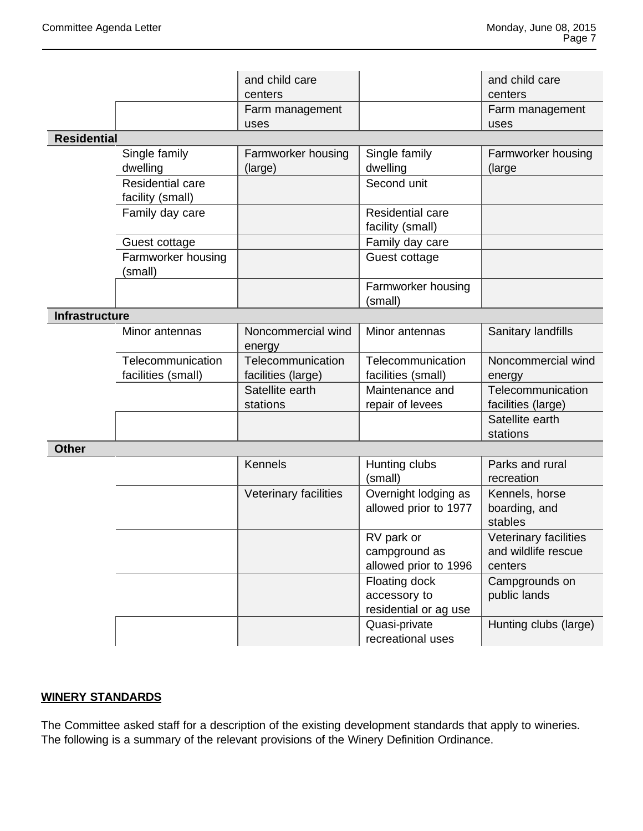|                       |                                             | and child care<br>centers               |                                                        | and child care<br>centers                               |
|-----------------------|---------------------------------------------|-----------------------------------------|--------------------------------------------------------|---------------------------------------------------------|
|                       |                                             | Farm management<br>uses                 |                                                        | Farm management<br>uses                                 |
| <b>Residential</b>    |                                             |                                         |                                                        |                                                         |
|                       | Single family<br>dwelling                   | Farmworker housing<br>(large)           | Single family<br>dwelling                              | Farmworker housing<br>(large)                           |
|                       | <b>Residential care</b><br>facility (small) |                                         | Second unit                                            |                                                         |
|                       | Family day care                             |                                         | Residential care<br>facility (small)                   |                                                         |
|                       | Guest cottage                               |                                         | Family day care                                        |                                                         |
|                       | Farmworker housing<br>(small)               |                                         | Guest cottage                                          |                                                         |
|                       |                                             |                                         | Farmworker housing<br>(small)                          |                                                         |
| <b>Infrastructure</b> |                                             |                                         |                                                        |                                                         |
|                       | Minor antennas                              | Noncommercial wind<br>energy            | Minor antennas                                         | Sanitary landfills                                      |
|                       | Telecommunication<br>facilities (small)     | Telecommunication<br>facilities (large) | Telecommunication<br>facilities (small)                | Noncommercial wind<br>energy                            |
|                       |                                             | Satellite earth<br>stations             | Maintenance and<br>repair of levees                    | Telecommunication<br>facilities (large)                 |
|                       |                                             |                                         |                                                        | Satellite earth<br>stations                             |
| <b>Other</b>          |                                             |                                         |                                                        |                                                         |
|                       |                                             | <b>Kennels</b>                          | Hunting clubs<br>(small)                               | Parks and rural<br>recreation                           |
|                       |                                             | Veterinary facilities                   | Overnight lodging as<br>allowed prior to 1977          | Kennels, horse<br>boarding, and<br>stables              |
|                       |                                             |                                         | RV park or<br>campground as<br>allowed prior to 1996   | Veterinary facilities<br>and wildlife rescue<br>centers |
|                       |                                             |                                         | Floating dock<br>accessory to<br>residential or ag use | Campgrounds on<br>public lands                          |
|                       |                                             |                                         | Quasi-private<br>recreational uses                     | Hunting clubs (large)                                   |

# **WINERY STANDARDS**

The Committee asked staff for a description of the existing development standards that apply to wineries. The following is a summary of the relevant provisions of the Winery Definition Ordinance.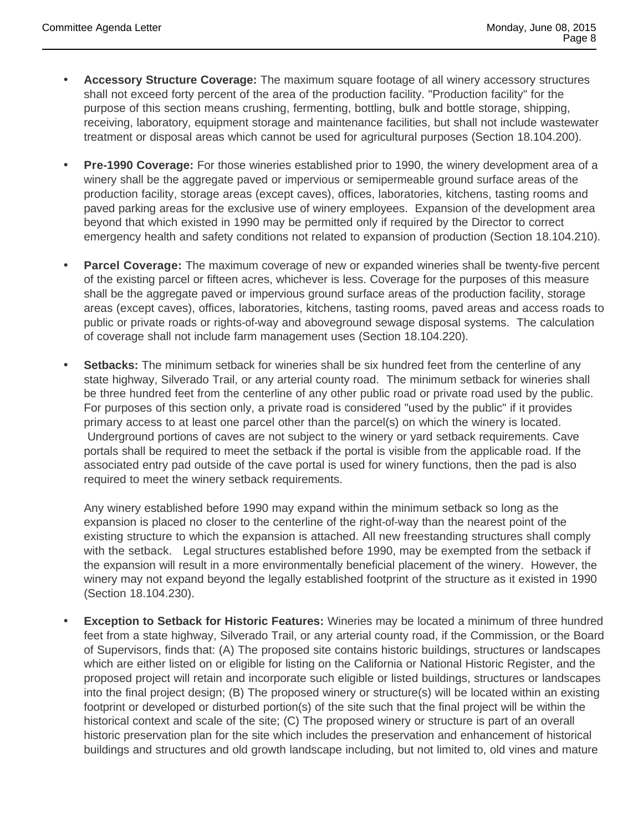- **Accessory Structure Coverage:** The maximum square footage of all winery accessory structures shall not exceed forty percent of the area of the production facility. "Production facility" for the purpose of this section means crushing, fermenting, bottling, bulk and bottle storage, shipping, receiving, laboratory, equipment storage and maintenance facilities, but shall not include wastewater treatment or disposal areas which cannot be used for agricultural purposes (Section 18.104.200).
- **Pre-1990 Coverage:** For those wineries established prior to 1990, the winery development area of a winery shall be the aggregate paved or impervious or semipermeable ground surface areas of the production facility, storage areas (except caves), offices, laboratories, kitchens, tasting rooms and paved parking areas for the exclusive use of winery employees. Expansion of the development area beyond that which existed in 1990 may be permitted only if required by the Director to correct emergency health and safety conditions not related to expansion of production (Section 18.104.210).
- **Parcel Coverage:** The maximum coverage of new or expanded wineries shall be twenty-five percent of the existing parcel or fifteen acres, whichever is less. Coverage for the purposes of this measure shall be the aggregate paved or impervious ground surface areas of the production facility, storage areas (except caves), offices, laboratories, kitchens, tasting rooms, paved areas and access roads to public or private roads or rights-of-way and aboveground sewage disposal systems. The calculation of coverage shall not include farm management uses (Section 18.104.220).
- **Setbacks:** The minimum setback for wineries shall be six hundred feet from the centerline of any state highway, Silverado Trail, or any arterial county road. The minimum setback for wineries shall be three hundred feet from the centerline of any other public road or private road used by the public. For purposes of this section only, a private road is considered "used by the public" if it provides primary access to at least one parcel other than the parcel(s) on which the winery is located. Underground portions of caves are not subject to the winery or yard setback requirements. Cave portals shall be required to meet the setback if the portal is visible from the applicable road. If the associated entry pad outside of the cave portal is used for winery functions, then the pad is also required to meet the winery setback requirements.

Any winery established before 1990 may expand within the minimum setback so long as the expansion is placed no closer to the centerline of the right-of-way than the nearest point of the existing structure to which the expansion is attached. All new freestanding structures shall comply with the setback. Legal structures established before 1990, may be exempted from the setback if the expansion will result in a more environmentally beneficial placement of the winery. However, the winery may not expand beyond the legally established footprint of the structure as it existed in 1990 (Section 18.104.230).

 **Exception to Setback for Historic Features:** Wineries may be located a minimum of three hundred feet from a state highway, Silverado Trail, or any arterial county road, if the Commission, or the Board of Supervisors, finds that: (A) The proposed site contains historic buildings, structures or landscapes which are either listed on or eligible for listing on the California or National Historic Register, and the proposed project will retain and incorporate such eligible or listed buildings, structures or landscapes into the final project design; (B) The proposed winery or structure(s) will be located within an existing footprint or developed or disturbed portion(s) of the site such that the final project will be within the historical context and scale of the site; (C) The proposed winery or structure is part of an overall historic preservation plan for the site which includes the preservation and enhancement of historical buildings and structures and old growth landscape including, but not limited to, old vines and mature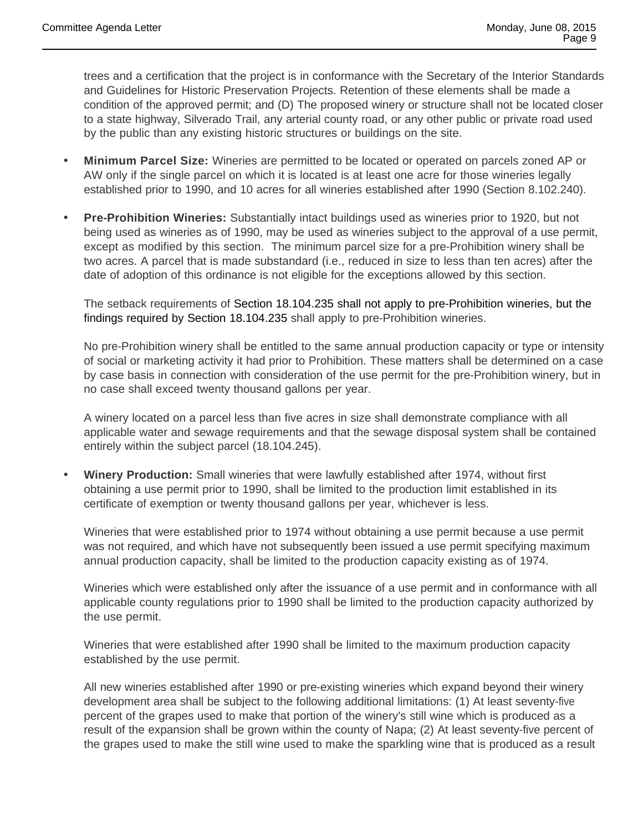trees and a certification that the project is in conformance with the Secretary of the Interior Standards and Guidelines for Historic Preservation Projects. Retention of these elements shall be made a condition of the approved permit; and (D) The proposed winery or structure shall not be located closer to a state highway, Silverado Trail, any arterial county road, or any other public or private road used by the public than any existing historic structures or buildings on the site.

- **Minimum Parcel Size:** Wineries are permitted to be located or operated on parcels zoned AP or AW only if the single parcel on which it is located is at least one acre for those wineries legally established prior to 1990, and 10 acres for all wineries established after 1990 (Section 8.102.240).
- **Pre-Prohibition Wineries:** Substantially intact buildings used as wineries prior to 1920, but not being used as wineries as of 1990, may be used as wineries subject to the approval of a use permit, except as modified by this section. The minimum parcel size for a pre-Prohibition winery shall be two acres. A parcel that is made substandard (i.e., reduced in size to less than ten acres) after the date of adoption of this ordinance is not eligible for the exceptions allowed by this section.

The setback requirements of Section 18.104.235 shall not apply to pre-Prohibition wineries, but the findings required by Section 18.104.235 shall apply to pre-Prohibition wineries.

No pre-Prohibition winery shall be entitled to the same annual production capacity or type or intensity of social or marketing activity it had prior to Prohibition. These matters shall be determined on a case by case basis in connection with consideration of the use permit for the pre-Prohibition winery, but in no case shall exceed twenty thousand gallons per year.

A winery located on a parcel less than five acres in size shall demonstrate compliance with all applicable water and sewage requirements and that the sewage disposal system shall be contained entirely within the subject parcel (18.104.245).

 **Winery Production:** Small wineries that were lawfully established after 1974, without first obtaining a use permit prior to 1990, shall be limited to the production limit established in its certificate of exemption or twenty thousand gallons per year, whichever is less.

Wineries that were established prior to 1974 without obtaining a use permit because a use permit was not required, and which have not subsequently been issued a use permit specifying maximum annual production capacity, shall be limited to the production capacity existing as of 1974.

Wineries which were established only after the issuance of a use permit and in conformance with all applicable county regulations prior to 1990 shall be limited to the production capacity authorized by the use permit.

Wineries that were established after 1990 shall be limited to the maximum production capacity established by the use permit.

All new wineries established after 1990 or pre-existing wineries which expand beyond their winery development area shall be subject to the following additional limitations: (1) At least seventy-five percent of the grapes used to make that portion of the winery's still wine which is produced as a result of the expansion shall be grown within the county of Napa; (2) At least seventy-five percent of the grapes used to make the still wine used to make the sparkling wine that is produced as a result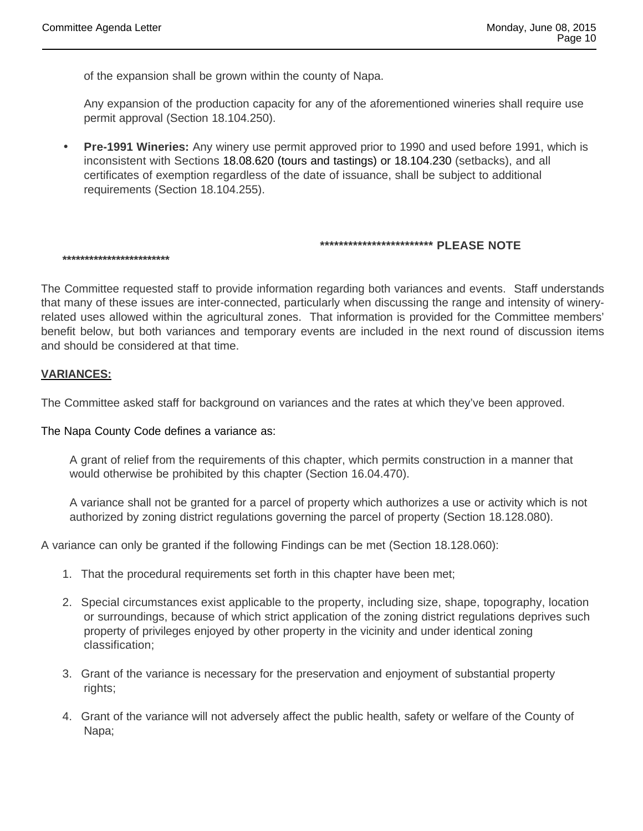of the expansion shall be grown within the county of Napa.

Any expansion of the production capacity for any of the aforementioned wineries shall require use permit approval (Section 18.104.250).

 **Pre-1991 Wineries:** Any winery use permit approved prior to 1990 and used before 1991, which is inconsistent with Sections 18.08.620 (tours and tastings) or 18.104.230 (setbacks), and all certificates of exemption regardless of the date of issuance, shall be subject to additional requirements (Section 18.104.255).

## **\*\*\*\*\*\*\*\*\*\*\*\*\*\*\*\*\*\*\*\*\*\*\*\* PLEASE NOTE**

**\*\*\*\*\*\*\*\*\*\*\*\*\*\*\*\*\*\*\*\*\*\*\*\***

The Committee requested staff to provide information regarding both variances and events. Staff understands that many of these issues are inter-connected, particularly when discussing the range and intensity of wineryrelated uses allowed within the agricultural zones. That information is provided for the Committee members' benefit below, but both variances and temporary events are included in the next round of discussion items and should be considered at that time.

## **VARIANCES:**

The Committee asked staff for background on variances and the rates at which they've been approved.

#### The Napa County Code defines a variance as:

A grant of relief from the requirements of this chapter, which permits construction in a manner that would otherwise be prohibited by this chapter (Section 16.04.470).

A variance shall not be granted for a parcel of property which authorizes a use or activity which is not authorized by zoning district regulations governing the parcel of property (Section 18.128.080).

A variance can only be granted if the following Findings can be met (Section 18.128.060):

- 1. That the procedural requirements set forth in this chapter have been met;
- 2. Special circumstances exist applicable to the property, including size, shape, topography, location or surroundings, because of which strict application of the zoning district regulations deprives such property of privileges enjoyed by other property in the vicinity and under identical zoning classification;
- 3. Grant of the variance is necessary for the preservation and enjoyment of substantial property rights;
- 4. Grant of the variance will not adversely affect the public health, safety or welfare of the County of Napa;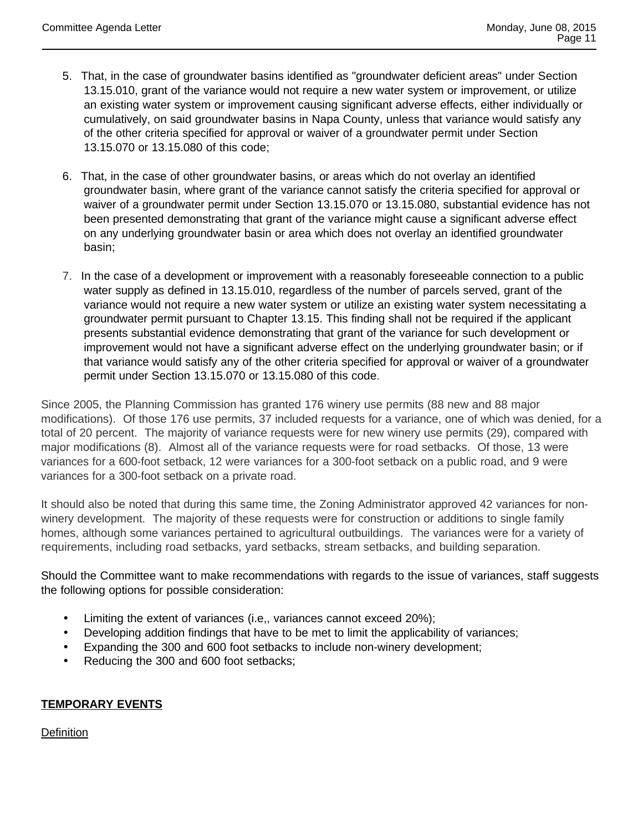- 5. That, in the case of groundwater basins identified as "groundwater deficient areas" under Section 13.15.010, grant of the variance would not require a new water system or improvement, or utilize an existing water system or improvement causing significant adverse effects, either individually or cumulatively, on said groundwater basins in Napa County, unless that variance would satisfy any of the other criteria specified for approval or waiver of a groundwater permit under Section 13.15.070 or 13.15.080 of this code;
- 6. That, in the case of other groundwater basins, or areas which do not overlay an identified groundwater basin, where grant of the variance cannot satisfy the criteria specified for approval or waiver of a groundwater permit under Section 13.15.070 or 13.15.080, substantial evidence has not been presented demonstrating that grant of the variance might cause a significant adverse effect on any underlying groundwater basin or area which does not overlay an identified groundwater basin;
- 7. In the case of a development or improvement with a reasonably foreseeable connection to a public water supply as defined in 13.15.010, regardless of the number of parcels served, grant of the variance would not require a new water system or utilize an existing water system necessitating a groundwater permit pursuant to Chapter 13.15. This finding shall not be required if the applicant presents substantial evidence demonstrating that grant of the variance for such development or improvement would not have a significant adverse effect on the underlying groundwater basin; or if that variance would satisfy any of the other criteria specified for approval or waiver of a groundwater permit under Section 13.15.070 or 13.15.080 of this code.

Since 2005, the Planning Commission has granted 176 winery use permits (88 new and 88 major modifications). Of those 176 use permits, 37 included requests for a variance, one of which was denied, for a total of 20 percent. The majority of variance requests were for new winery use permits (29), compared with major modifications (8). Almost all of the variance requests were for road setbacks. Of those, 13 were variances for a 600-foot setback, 12 were variances for a 300-foot setback on a public road, and 9 were variances for a 300-foot setback on a private road.

It should also be noted that during this same time, the Zoning Administrator approved 42 variances for nonwinery development. The majority of these requests were for construction or additions to single family homes, although some variances pertained to agricultural outbuildings. The variances were for a variety of requirements, including road setbacks, yard setbacks, stream setbacks, and building separation.

Should the Committee want to make recommendations with regards to the issue of variances, staff suggests the following options for possible consideration:

- Limiting the extent of variances (i.e,, variances cannot exceed 20%);
- Developing addition findings that have to be met to limit the applicability of variances;
- Expanding the 300 and 600 foot setbacks to include non-winery development;
- Reducing the 300 and 600 foot setbacks;

## **TEMPORARY EVENTS**

**Definition**